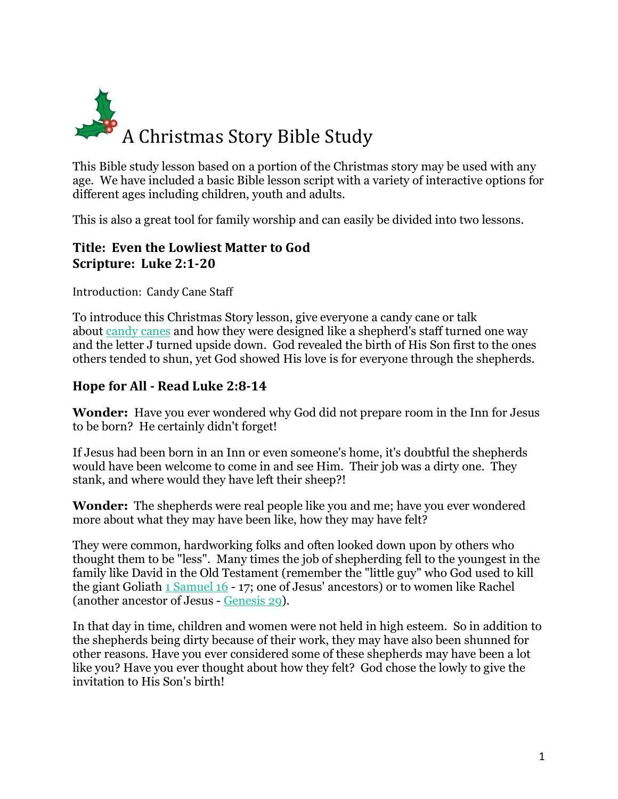

This Bible study lesson based on a portion of the Christmas story may be used with any age. We have included a basic Bible lesson script with a variety of interactive options for different ages including children, youth and adults.

This is also a great tool for family worship and can easily be divided into two lessons.

## **Title: Even the Lowliest Matter to God Scripture: Luke 2:1-20**

Introduction: Candy Cane Staff

To introduce this Christmas Story lesson, give everyone a candy cane or talk about candy canes and how they were designed like a shepherd's staff turned one way and the letter J turned upside down. God revealed the birth of His Son first to the ones others tended to shun, yet God showed His love is for everyone through the shepherds.

# **Hope for All - Read Luke 2:8-14**

**Wonder:** Have you ever wondered why God did not prepare room in the Inn for Jesus to be born? He certainly didn't forget!

If Jesus had been born in an Inn or even someone's home, it's doubtful the shepherds would have been welcome to come in and see Him. Their job was a dirty one. They stank, and where would they have left their sheep?!

**Wonder:** The shepherds were real people like you and me; have you ever wondered more about what they may have been like, how they may have felt?

They were common, hardworking folks and often looked down upon by others who thought them to be "less". Many times the job of shepherding fell to the youngest in the family like David in the Old Testament (remember the "little guy" who God used to kill the giant Goliath 1 Samuel 16 - 17; one of Jesus' ancestors) or to women like Rachel (another ancestor of Jesus - Genesis 29).

In that day in time, children and women were not held in high esteem. So in addition to the shepherds being dirty because of their work, they may have also been shunned for other reasons. Have you ever considered some of these shepherds may have been a lot like you? Have you ever thought about how they felt? God chose the lowly to give the invitation to His Son's birth!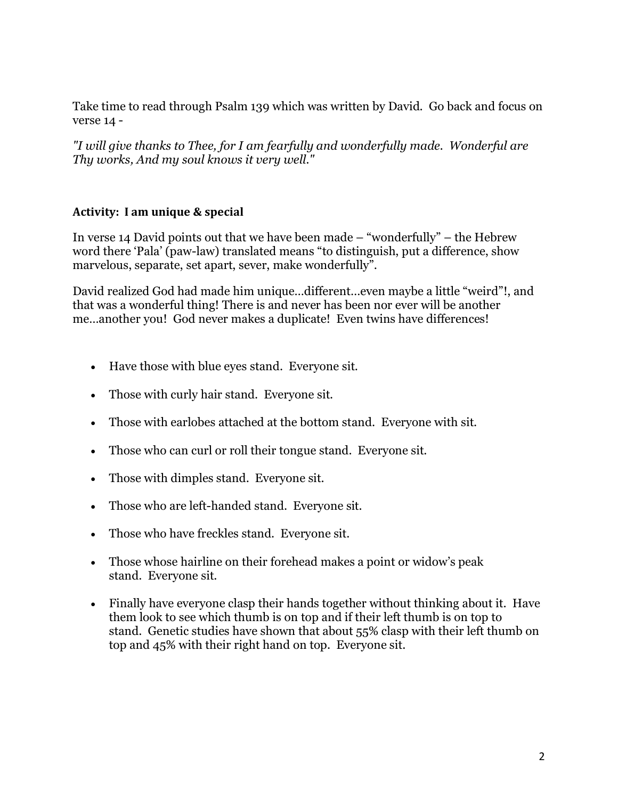Take time to read through Psalm 139 which was written by David. Go back and focus on verse 14 -

*"I will give thanks to Thee, for I am fearfully and wonderfully made. Wonderful are Thy works, And my soul knows it very well."*

### **Activity: I am unique & special**

In verse 14 David points out that we have been made – "wonderfully" – the Hebrew word there 'Pala' (paw-law) translated means "to distinguish, put a difference, show marvelous, separate, set apart, sever, make wonderfully".

David realized God had made him unique…different…even maybe a little "weird"!, and that was a wonderful thing! There is and never has been nor ever will be another me…another you! God never makes a duplicate! Even twins have differences!

- Have those with blue eyes stand. Everyone sit.
- Those with curly hair stand. Everyone sit.
- Those with earlobes attached at the bottom stand. Everyone with sit.
- Those who can curl or roll their tongue stand. Everyone sit.
- Those with dimples stand. Everyone sit.
- Those who are left-handed stand. Everyone sit.
- Those who have freckles stand. Everyone sit.
- Those whose hairline on their forehead makes a point or widow's peak stand. Everyone sit.
- Finally have everyone clasp their hands together without thinking about it. Have them look to see which thumb is on top and if their left thumb is on top to stand. Genetic studies have shown that about 55% clasp with their left thumb on top and 45% with their right hand on top. Everyone sit.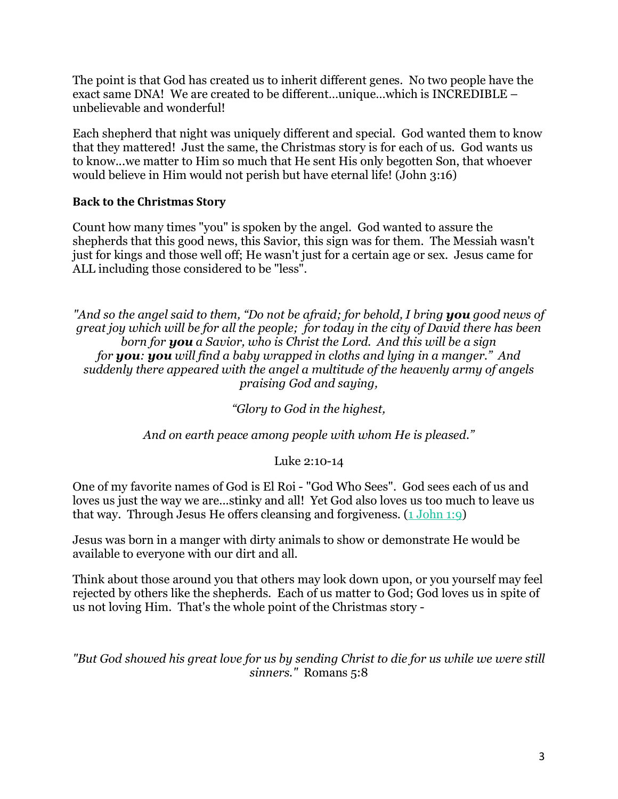The point is that God has created us to inherit different genes. No two people have the exact same DNA! We are created to be different…unique…which is INCREDIBLE – unbelievable and wonderful!

Each shepherd that night was uniquely different and special. God wanted them to know that they mattered! Just the same, the Christmas story is for each of us. God wants us to know...we matter to Him so much that He sent His only begotten Son, that whoever would believe in Him would not perish but have eternal life! (John 3:16)

### **Back to the Christmas Story**

Count how many times "you" is spoken by the angel. God wanted to assure the shepherds that this good news, this Savior, this sign was for them. The Messiah wasn't just for kings and those well off; He wasn't just for a certain age or sex. Jesus came for ALL including those considered to be "less".

*"And so the angel said to them, "Do not be afraid; for behold, I bring you good news of great joy which will be for all the people; for today in the city of David there has been born for you a Savior, who is Christ the Lord. And this will be a sign for you: you will find a baby wrapped in cloths and lying in a manger." And suddenly there appeared with the angel a multitude of the heavenly army of angels praising God and saying,*

*"Glory to God in the highest,*

*And on earth peace among people with whom He is pleased."*

Luke 2:10-14

One of my favorite names of God is El Roi - "God Who Sees". God sees each of us and loves us just the way we are...stinky and all! Yet God also loves us too much to leave us that way. Through Jesus He offers cleansing and forgiveness.  $(1$  John 1:9)

Jesus was born in a manger with dirty animals to show or demonstrate He would be available to everyone with our dirt and all.

Think about those around you that others may look down upon, or you yourself may feel rejected by others like the shepherds. Each of us matter to God; God loves us in spite of us not loving Him. That's the whole point of the Christmas story -

*"But God showed his great love for us by sending Christ to die for us while we were still sinners."* Romans 5:8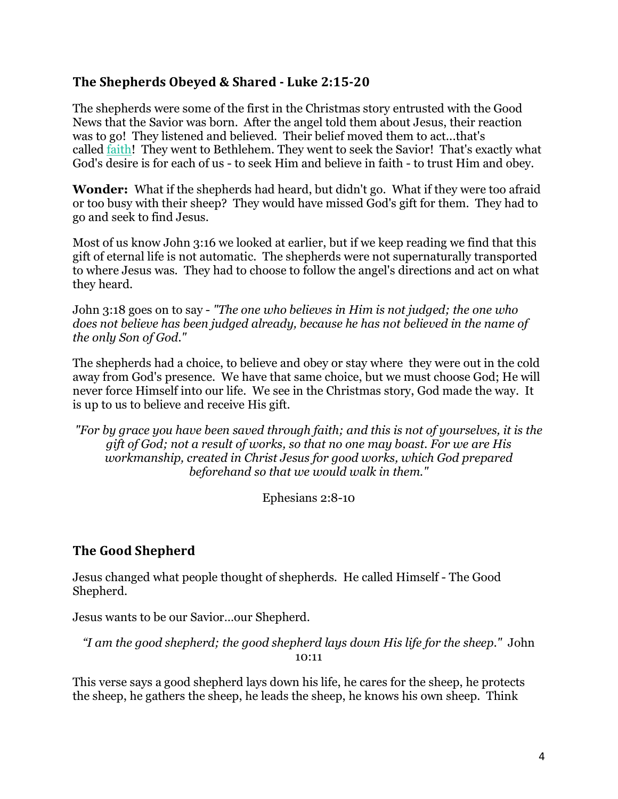# **The Shepherds Obeyed & Shared - Luke 2:15-20**

The shepherds were some of the first in the Christmas story entrusted with the Good News that the Savior was born. After the angel told them about Jesus, their reaction was to go! They listened and believed. Their belief moved them to act...that's called faith! They went to Bethlehem. They went to seek the Savior! That's exactly what God's desire is for each of us - to seek Him and believe in faith - to trust Him and obey.

**Wonder:** What if the shepherds had heard, but didn't go. What if they were too afraid or too busy with their sheep? They would have missed God's gift for them. They had to go and seek to find Jesus.

Most of us know John 3:16 we looked at earlier, but if we keep reading we find that this gift of eternal life is not automatic. The shepherds were not supernaturally transported to where Jesus was. They had to choose to follow the angel's directions and act on what they heard.

John 3:18 goes on to say - *"The one who believes in Him is not judged; the one who does not believe has been judged already, because he has not believed in the name of the only Son of God."*

The shepherds had a choice, to believe and obey or stay where they were out in the cold away from God's presence. We have that same choice, but we must choose God; He will never force Himself into our life. We see in the Christmas story, God made the way. It is up to us to believe and receive His gift.

*"For by grace you have been saved through faith; and this is not of yourselves, it is the gift of God; not a result of works, so that no one may boast. For we are His workmanship, created in Christ Jesus for good works, which God prepared beforehand so that we would walk in them."*

Ephesians 2:8-10

# **The Good Shepherd**

Jesus changed what people thought of shepherds. He called Himself - The Good Shepherd.

Jesus wants to be our Savior…our Shepherd.

*"I am the good shepherd; the good shepherd lays down His life for the sheep."* John 10:11

This verse says a good shepherd lays down his life, he cares for the sheep, he protects the sheep, he gathers the sheep, he leads the sheep, he knows his own sheep. Think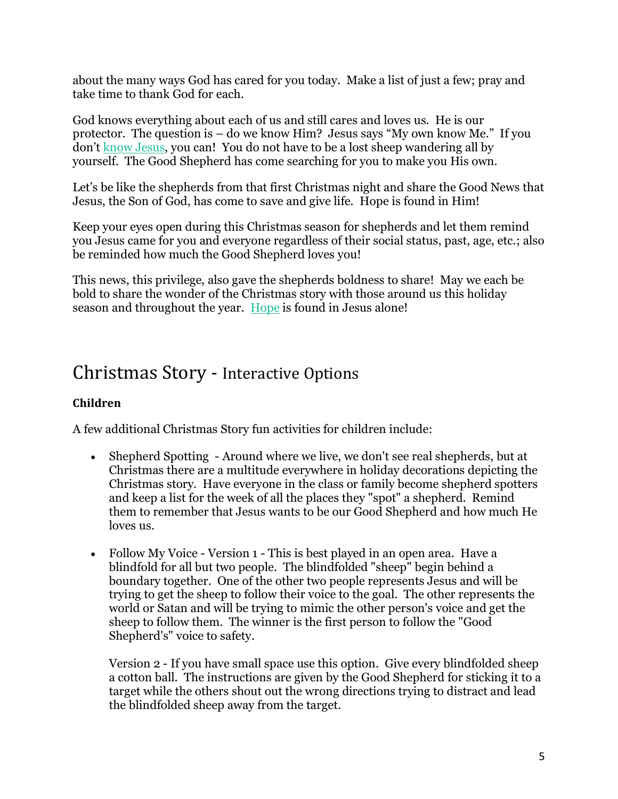about the many ways God has cared for you today. Make a list of just a few; pray and take time to thank God for each.

God knows everything about each of us and still cares and loves us. He is our protector. The question is – do we know Him? Jesus says "My own know Me." If you don't know Jesus, you can! You do not have to be a lost sheep wandering all by yourself. The Good Shepherd has come searching for you to make you His own.

Let's be like the shepherds from that first Christmas night and share the Good News that Jesus, the Son of God, has come to save and give life. Hope is found in Him!

Keep your eyes open during this Christmas season for shepherds and let them remind you Jesus came for you and everyone regardless of their social status, past, age, etc.; also be reminded how much the Good Shepherd loves you!

This news, this privilege, also gave the shepherds boldness to share! May we each be bold to share the wonder of the Christmas story with those around us this holiday season and throughout the year. Hope is found in Jesus alone!

# Christmas Story - Interactive Options

## **Children**

A few additional Christmas Story fun activities for children include:

- Shepherd Spotting Around where we live, we don't see real shepherds, but at Christmas there are a multitude everywhere in holiday decorations depicting the Christmas story. Have everyone in the class or family become shepherd spotters and keep a list for the week of all the places they "spot" a shepherd. Remind them to remember that Jesus wants to be our Good Shepherd and how much He loves us.
- Follow My Voice Version 1 This is best played in an open area. Have a blindfold for all but two people. The blindfolded "sheep" begin behind a boundary together. One of the other two people represents Jesus and will be trying to get the sheep to follow their voice to the goal. The other represents the world or Satan and will be trying to mimic the other person's voice and get the sheep to follow them. The winner is the first person to follow the "Good Shepherd's" voice to safety.

Version 2 - If you have small space use this option. Give every blindfolded sheep a cotton ball. The instructions are given by the Good Shepherd for sticking it to a target while the others shout out the wrong directions trying to distract and lead the blindfolded sheep away from the target.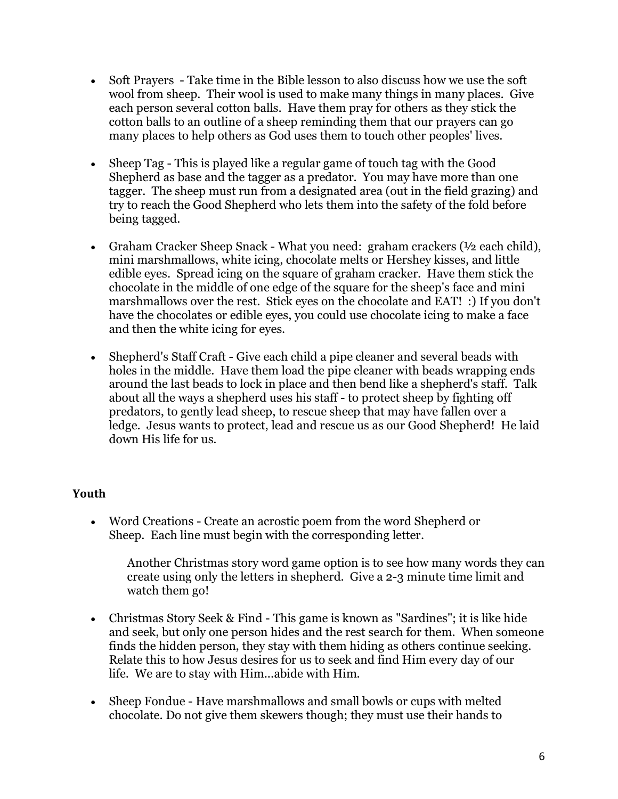- Soft Prayers Take time in the Bible lesson to also discuss how we use the soft wool from sheep. Their wool is used to make many things in many places. Give each person several cotton balls. Have them pray for others as they stick the cotton balls to an outline of a sheep reminding them that our prayers can go many places to help others as God uses them to touch other peoples' lives.
- Sheep Tag This is played like a regular game of touch tag with the Good Shepherd as base and the tagger as a predator. You may have more than one tagger. The sheep must run from a designated area (out in the field grazing) and try to reach the Good Shepherd who lets them into the safety of the fold before being tagged.
- Graham Cracker Sheep Snack What you need: graham crackers ( $\frac{1}{2}$  each child), mini marshmallows, white icing, chocolate melts or Hershey kisses, and little edible eyes. Spread icing on the square of graham cracker. Have them stick the chocolate in the middle of one edge of the square for the sheep's face and mini marshmallows over the rest. Stick eyes on the chocolate and EAT! :) If you don't have the chocolates or edible eyes, you could use chocolate icing to make a face and then the white icing for eyes.
- Shepherd's Staff Craft Give each child a pipe cleaner and several beads with holes in the middle. Have them load the pipe cleaner with beads wrapping ends around the last beads to lock in place and then bend like a shepherd's staff. Talk about all the ways a shepherd uses his staff - to protect sheep by fighting off predators, to gently lead sheep, to rescue sheep that may have fallen over a ledge. Jesus wants to protect, lead and rescue us as our Good Shepherd! He laid down His life for us.

## **Youth**

• Word Creations - Create an acrostic poem from the word Shepherd or Sheep. Each line must begin with the corresponding letter.

Another Christmas story word game option is to see how many words they can create using only the letters in shepherd. Give a 2-3 minute time limit and watch them go!

- Christmas Story Seek & Find This game is known as "Sardines"; it is like hide and seek, but only one person hides and the rest search for them. When someone finds the hidden person, they stay with them hiding as others continue seeking. Relate this to how Jesus desires for us to seek and find Him every day of our life. We are to stay with Him...abide with Him.
- Sheep Fondue Have marshmallows and small bowls or cups with melted chocolate. Do not give them skewers though; they must use their hands to